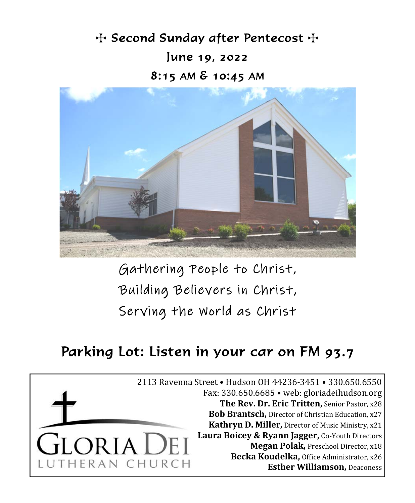$+$  Second Sunday after Pentecost  $+$ June 19, 2022 8:15 AM & 10:45 AM



Gathering People to Christ, Building Believers in Christ, Serving the World as Christ

# Parking Lot: Listen in your car on FM 93.7

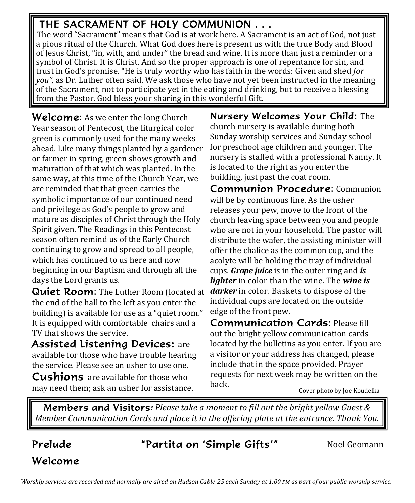## THE SACRAMENT OF HOLY COMMUNION . . .

The word "Sacrament" means that God is at work here. A Sacrament is an act of God, not just a pious ritual of the Church. What God does here is present us with the true Body and Blood of Jesus Christ, "in, with, and under" the bread and wine. It is more than just a reminder or a symbol of Christ. It is Christ. And so the proper approach is one of repentance for sin, and trust in God's promise. "He is truly worthy who has faith in the words: Given and shed *for you",* as Dr. Luther often said. We ask those who have not yet been instructed in the meaning of the Sacrament, not to participate yet in the eating and drinking, but to receive a blessing from the Pastor. God bless your sharing in this wonderful Gift.

**Welcome:** As we enter the long Church Year season of Pentecost, the liturgical color green is commonly used for the many weeks ahead. Like many things planted by a gardener or farmer in spring, green shows growth and maturation of that which was planted. In the same way, at this time of the Church Year, we are reminded that that green carries the symbolic importance of our continued need and privilege as God's people to grow and mature as disciples of Christ through the Holy Spirit given. The Readings in this Pentecost season often remind us of the Early Church continuing to grow and spread to all people, which has continued to us here and now beginning in our Baptism and through all the days the Lord grants us.

Quiet Room: The Luther Room (located at darker in color. Baskets to dispose of the the end of the hall to the left as you enter the building) is available for use as a "quiet room." It is equipped with comfortable chairs and a TV that shows the service.

Assisted Listening Devices: are available for those who have trouble hearing the service. Please see an usher to use one.

**Cushions** are available for those who may need them; ask an usher for assistance. Nursery Welcomes Your Child: The church nursery is available during both Sunday worship services and Sunday school for preschool age children and younger. The nursery is staffed with a professional Nanny. It is located to the right as you enter the building, just past the coat room.

Communion Procedure: Communion will be by continuous line. As the usher releases your pew, move to the front of the church leaving space between you and people who are not in your household. The pastor will distribute the wafer, the assisting minister will offer the chalice as the common cup, and the acolyte will be holding the tray of individual cups. *Grape juice* is in the outer ring and *is lighter* in color than the wine. The *wine is* individual cups are located on the outside edge of the front pew.

Communication Cards: Please fill out the bright yellow communication cards located by the bulletins as you enter. If you are a visitor or your address has changed, please include that in the space provided. Prayer requests for next week may be written on the back.

Cover photo by Joe Koudelka

Members and Visitors*: Please take a moment to fill out the bright yellow Guest & Member Communication Cards and place it in the offering plate at the entrance. Thank You.*

## **Prelude "Partita on 'Simple Gifts'"** Noel Geomann

Welcome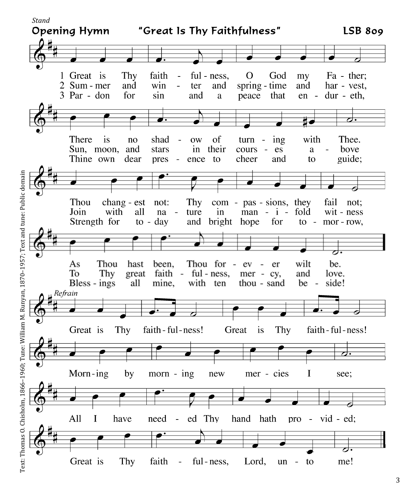

Text: Thomas O. Chisholm, 1866–1960; Tune: William M. Runyan, 1870–1957; Text and tune: Public domain Text: Thomas O. Chisholm, 1866–1960; Tune: William M. Runyan, 1870–1957; Text and tune: Public domain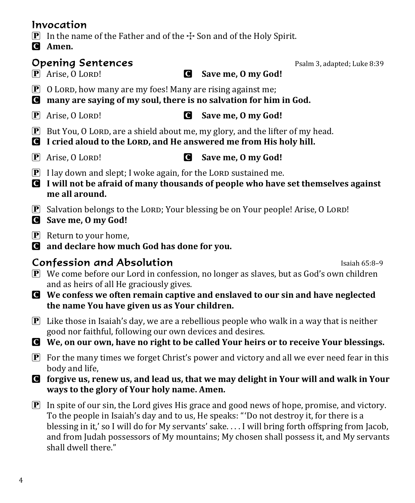#### Invocation

- **P** In the name of the Father and of the  $\pm$  Son and of the Holy Spirit.
- C **Amen.**

## **Opening Sentences Psalm 3, adapted; Luke 8:39**

- 
- $\boxed{\mathbf{P}}$  O LORD, how many are my foes! Many are rising against me;
- C **many are saying of my soul, there is no salvation for him in God.**
- P Arise, O LĔėĉ! C **Save me, O my God!**
- $\mathbf{P}$  But You, O LORD, are a shield about me, my glory, and the lifter of my head.
- C **I cried aloud to the LĔėĉ, and He answered me from His holy hill.**
- 
- P Arise, O LĔėĉ! C **Save me, O my God!**
- $\boxed{\mathbf{P}}$  I lay down and slept; I woke again, for the LORD sustained me.
- C **I will not be afraid of many thousands of people who have set themselves against me all around.**
- $\mathbf{P}$  Salvation belongs to the LORD; Your blessing be on Your people! Arise, O LORD!
- C **Save me, O my God!**
- $\boxed{\mathbf{P}}$  Return to your home,
- C **and declare how much God has done for you.**

## **Confession and Absolution Island Confession and Absolution**

- $\boxed{\mathbf{P}}$  We come before our Lord in confession, no longer as slaves, but as God's own children and as heirs of all He graciously gives.
- C **We confess we often remain captive and enslaved to our sin and have neglected the name You have given us as Your children.**
- $\mathbf{P}$  Like those in Isaiah's day, we are a rebellious people who walk in a way that is neither good nor faithful, following our own devices and desires.

C **We, on our own, have no right to be called Your heirs or to receive Your blessings.**

- $\mathbf{P}$  For the many times we forget Christ's power and victory and all we ever need fear in this body and life,
- C **forgive us, renew us, and lead us, that we may delight in Your will and walk in Your ways to the glory of Your holy name. Amen.**
- P In spite of our sin, the Lord gives His grace and good news of hope, promise, and victory. To the people in Isaiah's day and to us, He speaks: " 'Do not destroy it, for there is a blessing in it,' so I will do for My servants' sake. . . . I will bring forth offspring from Jacob, and from Judah possessors of My mountains; My chosen shall possess it, and My servants shall dwell there."

P Arise, O LĔėĉ! C **Save me, O my God!**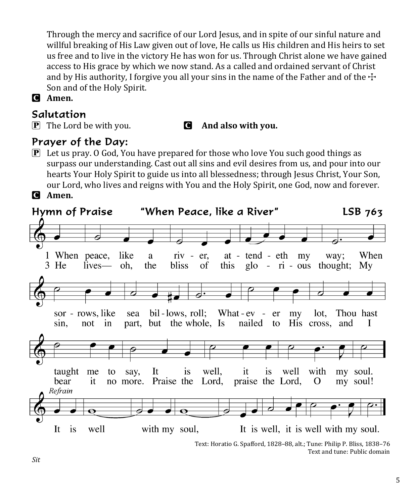Through the mercy and sacrifice of our Lord Jesus, and in spite of our sinful nature and willful breaking of His Law given out of love, He calls us His children and His heirs to set us free and to live in the victory He has won for us. Through Christ alone we have gained access to His grace by which we now stand. As a called and ordained servant of Christ and by His authority, I forgive you all your sins in the name of the Father and of the  $\pm$ Son and of the Holy Spirit.

C **Amen.**

### Salutation

P The Lord be with you. C **And also with you.**

## Prayer of the Day:

 $\mathbb{P}$  Let us pray. O God, You have prepared for those who love You such good things as surpass our understanding. Cast out all sins and evil desires from us, and pour into our hearts Your Holy Spirit to guide us into all blessedness; through Jesus Christ, Your Son, our Lord, who lives and reigns with You and the Holy Spirit, one God, now and forever. C **Amen.**



Text and tune: Public domain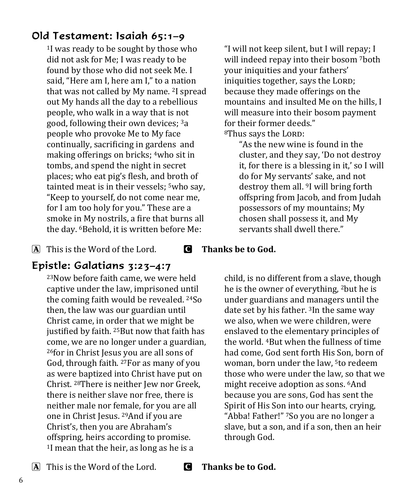## Old Testament: Isaiah 65:1–9

1I was ready to be sought by those who did not ask for Me; I was ready to be found by those who did not seek Me. I said, "Here am I, here am I," to a nation that was not called by My name. 2I spread out My hands all the day to a rebellious people, who walk in a way that is not good, following their own devices; 3a people who provoke Me to My face continually, sacrificing in gardens and making offerings on bricks; 4who sit in tombs, and spend the night in secret places; who eat pig's flesh, and broth of tainted meat is in their vessels; <sup>5</sup>who say, "Keep to yourself, do not come near me, for I am too holy for you." These are a smoke in My nostrils, a fire that burns all the day. 6Behold, it is written before Me:

A This is the Word of the Lord. C **Thanks be to God.**

## Epistle: Galatians 3:23–4:7

23Now before faith came, we were held captive under the law, imprisoned until the coming faith would be revealed. 24So then, the law was our guardian until Christ came, in order that we might be justified by faith. <sup>25</sup>But now that faith has come, we are no longer under a guardian, 26for in Christ Jesus you are all sons of God, through faith. 27For as many of you as were baptized into Christ have put on Christ. 28There is neither Jew nor Greek, there is neither slave nor free, there is neither male nor female, for you are all one in Christ Jesus. 29And if you are Christ's, then you are Abraham's offspring, heirs according to promise. 1I mean that the heir, as long as he is a

"I will not keep silent, but I will repay; I will indeed repay into their bosom 7both your iniquities and your fathers' iniquities together, says the LORD; because they made offerings on the mountains and insulted Me on the hills, I will measure into their bosom payment for their former deeds." <sup>8</sup>Thus says the LORD:

"As the new wine is found in the cluster, and they say, 'Do not destroy it, for there is a blessing in it,' so I will do for My servants' sake, and not destroy them all. 9I will bring forth offspring from Jacob, and from Judah possessors of my mountains; My chosen shall possess it, and My servants shall dwell there."

child, is no different from a slave, though he is the owner of everything, 2but he is under guardians and managers until the date set by his father. 3In the same way we also, when we were children, were enslaved to the elementary principles of the world. 4But when the fullness of time had come, God sent forth His Son, born of woman, born under the law, 5to redeem those who were under the law, so that we might receive adoption as sons. 6And because you are sons, God has sent the Spirit of His Son into our hearts, crying, "Abba! Father!" 7So you are no longer a slave, but a son, and if a son, then an heir through God.

A This is the Word of the Lord. C **Thanks be to God.**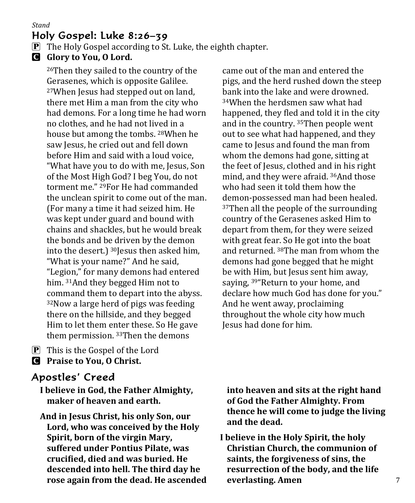#### Holy Gospel: Luke 8:26–39

- $\mathbf{P}$  The Holy Gospel according to St. Luke, the eighth chapter.
- C **Glory to You, O Lord.**

26Then they sailed to the country of the Gerasenes, which is opposite Galilee. 27When Jesus had stepped out on land, there met Him a man from the city who had demons. For a long time he had worn no clothes, and he had not lived in a house but among the tombs. 28When he saw Jesus, he cried out and fell down before Him and said with a loud voice, "What have you to do with me, Jesus, Son of the Most High God? I beg You, do not torment me." 29For He had commanded the unclean spirit to come out of the man. (For many a time it had seized him. He was kept under guard and bound with chains and shackles, but he would break the bonds and be driven by the demon into the desert.) 30Jesus then asked him, "What is your name?" And he said, "Legion," for many demons had entered him. 31And they begged Him not to command them to depart into the abyss. 32Now a large herd of pigs was feeding there on the hillside, and they begged Him to let them enter these. So He gave them permission. 33Then the demons

P This is the Gospel of the Lord C **Praise to You, O Christ.**

## Apostles' Creed

- **I believe in God, the Father Almighty, maker of heaven and earth.**
- **And in Jesus Christ, his only Son, our Lord, who was conceived by the Holy Spirit, born of the virgin Mary, suffered under Pontius Pilate, was cruciϐied, died and was buried. He descended into hell. The third day he rose again from the dead. He ascended**

came out of the man and entered the pigs, and the herd rushed down the steep bank into the lake and were drowned. 34When the herdsmen saw what had happened, they fled and told it in the city and in the country. 35Then people went out to see what had happened, and they came to Jesus and found the man from whom the demons had gone, sitting at the feet of Jesus, clothed and in his right mind, and they were afraid. 36And those who had seen it told them how the demon-possessed man had been healed. <sup>37</sup>Then all the people of the surrounding country of the Gerasenes asked Him to depart from them, for they were seized with great fear. So He got into the boat and returned. 38The man from whom the demons had gone begged that he might be with Him, but Jesus sent him away, saying, <sup>39"</sup>Return to your home, and declare how much God has done for you." And he went away, proclaiming throughout the whole city how much Jesus had done for him.

**into heaven and sits at the right hand of God the Father Almighty. From thence he will come to judge the living and the dead.**

**I believe in the Holy Spirit, the holy Christian Church, the communion of saints, the forgiveness of sins, the resurrection of the body, and the life everlasting. Amen**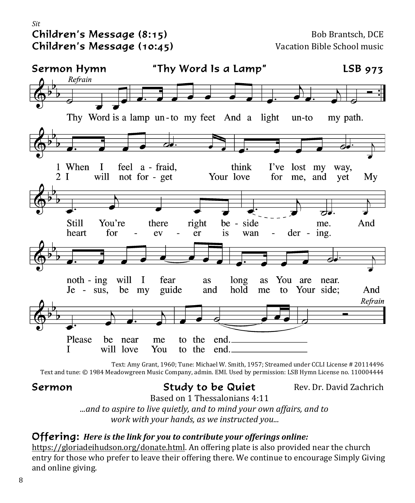#### *Sit*  Children's Message (8:15) Bob Brantsch, DCE Children's Message (10:45) Vacation Bible School music



Text: Amy Grant, 1960; Tune: Michael W. Smith, 1957; Streamed under CCLI License # 20114496 Text and tune: © 1984 Meadowgreen Music Company, admin. EMI. Used by permission: LSB Hymn License no. 110004444

### **Sermon** Study to be Quiet Rev. Dr. David Zachrich

 Based on 1 Thessalonians 4:11 *...and to aspire to live quietly, and to mind your own affairs, and to work with your hands, as we instructed you...*

#### Offering: *Here is the link for you to contribute your offerings online:*

https://gloriadeihudson.org/donate.html. An offering plate is also provided near the church entry for those who prefer to leave their offering there. We continue to encourage Simply Giving and online giving.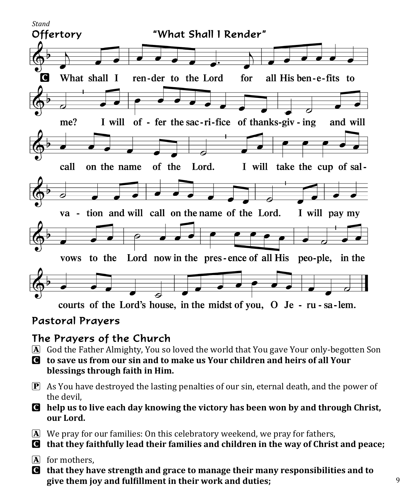

### Pastoral Prayers

## The Prayers of the Church

- A God the Father Almighty, You so loved the world that You gave Your only-begotten Son
- C **to save us from our sin and to make us Your children and heirs of all Your blessings through faith in Him.**
- $\mathbf{P}$  As You have destroyed the lasting penalties of our sin, eternal death, and the power of the devil,
- C **help us to live each day knowing the victory has been won by and through Christ, our Lord.**
- A We pray for our families: On this celebratory weekend, we pray for fathers,
- C **that they faithfully lead their families and children in the way of Christ and peace;**
- $\overline{A}$  for mothers.
- C **that they have strength and grace to manage their many responsibilities and to give them joy and fulϐillment in their work and duties;**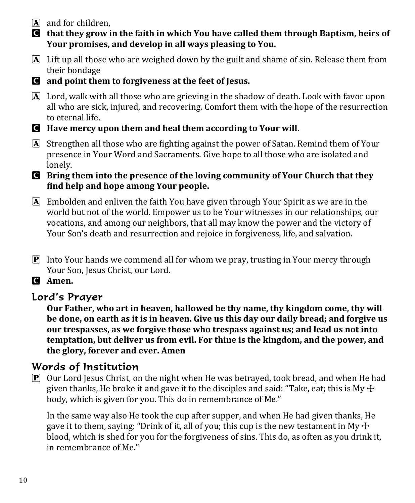- $\mathbf{\overline{A}}$  and for children.
- C **that they grow in the faith in which You have called them through Baptism, heirs of Your promises, and develop in all ways pleasing to You.**
- A Lift up all those who are weighed down by the guilt and shame of sin. Release them from their bondage
- C **and point them to forgiveness at the feet of Jesus.**
- A Lord, walk with all those who are grieving in the shadow of death. Look with favor upon all who are sick, injured, and recovering. Comfort them with the hope of the resurrection to eternal life.
- C **Have mercy upon them and heal them according to Your will.**
- A Strengthen all those who are fighting against the power of Satan. Remind them of Your presence in Your Word and Sacraments. Give hope to all those who are isolated and lonely.
- C **Bring them into the presence of the loving community of Your Church that they ϐind help and hope among Your people.**
- $\overline{A}$  Embolden and enliven the faith You have given through Your Spirit as we are in the world but not of the world. Empower us to be Your witnesses in our relationships, our vocations, and among our neighbors, that all may know the power and the victory of Your Son's death and resurrection and rejoice in forgiveness, life, and salvation.
- P Into Your hands we commend all for whom we pray, trusting in Your mercy through Your Son, Jesus Christ, our Lord.
- C **Amen.**

### Lord's Prayer

**Our Father, who art in heaven, hallowed be thy name, thy kingdom come, thy will be done, on earth as it is in heaven. Give us this day our daily bread; and forgive us our trespasses, as we forgive those who trespass against us; and lead us not into temptation, but deliver us from evil. For thine is the kingdom, and the power, and the glory, forever and ever. Amen**

### Words of Institution

 $\boxed{\mathbf{P}}$  Our Lord Jesus Christ, on the night when He was betrayed, took bread, and when He had given thanks, He broke it and gave it to the disciples and said: "Take, eat; this is My  $\pm$ body, which is given for you. This do in remembrance of Me."

 In the same way also He took the cup after supper, and when He had given thanks, He gave it to them, saying: "Drink of it, all of you; this cup is the new testament in My  $\pm$ blood, which is shed for you for the forgiveness of sins. This do, as often as you drink it, in remembrance of Me."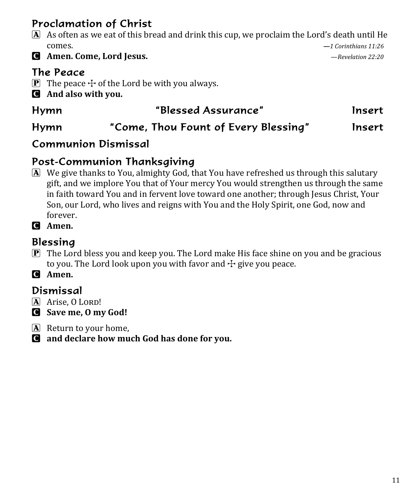## Proclamation of Christ

- A As often as we eat of this bread and drink this cup, we proclaim the Lord's death until He **comes.**  $-1$  *Corinthians* 11:26
- C **Amen. Come, Lord Jesus.**  —*Revelation 22:20*

## The Peace

- **P** The peace  $\pm$  of the Lord be with you always.
- C **And also with you.**

# Hymn "Blessed Assurance" Insert

## Hymn "Come, Thou Fount of Every Blessing" Insert

## Communion Dismissal

## Post-Communion Thanksgiving

A We give thanks to You, almighty God, that You have refreshed us through this salutary gift, and we implore You that of Your mercy You would strengthen us through the same in faith toward You and in fervent love toward one another; through Jesus Christ, Your Son, our Lord, who lives and reigns with You and the Holy Spirit, one God, now and forever.

C **Amen.**

## Blessing

 $\mathbf{P}$  The Lord bless you and keep you. The Lord make His face shine on you and be gracious to you. The Lord look upon you with favor and  $\pm$  give you peace.

C **Amen.**

## Dismissal

- $\overline{A}$  Arise, O LORD!
- C **Save me, O my God!**
- A Return to your home,
- C **and declare how much God has done for you.**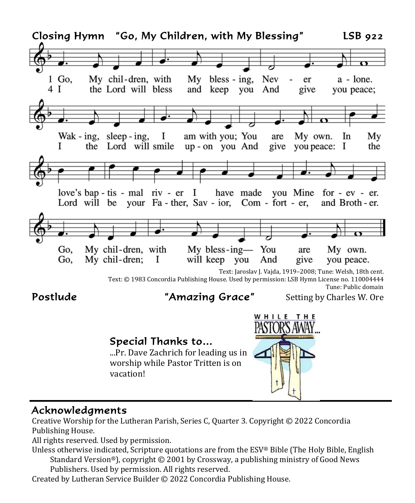

#### Acknowledgments

Creative Worship for the Lutheran Parish, Series C, Quarter 3. Copyright © 2022 Concordia Publishing House.

All rights reserved. Used by permission.

- Unless otherwise indicated, Scripture quotations are from the ESV® Bible (The Holy Bible, English Standard Version®), copyright © 2001 by Crossway, a publishing ministry of Good News Publishers. Used by permission. All rights reserved.
- Created by Lutheran Service Builder © 2022 Concordia Publishing House.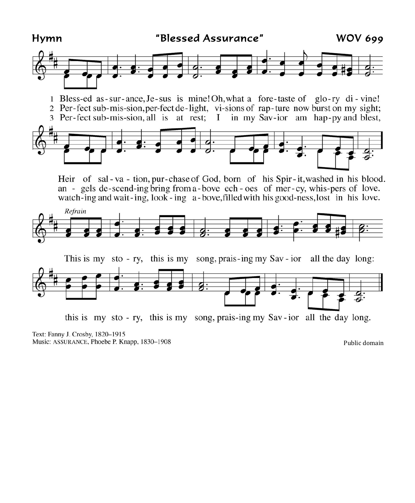

Heir of sal-va-tion, pur-chase of God, born of his Spir-it, washed in his blood. an - gels de-scend-ing bring from a-bove ech-oes of mer-cy, whis-pers of love. watch-ing and wait-ing, look-ing a-bove, filled with his good-ness, lost in his love.





this is my sto - ry, this is my song, prais-ing my Sav-ior all the day long.

Text: Fanny J. Crosby, 1820-1915 Music: ASSURANCE, Phoebe P. Knapp, 1830-1908

Public domain